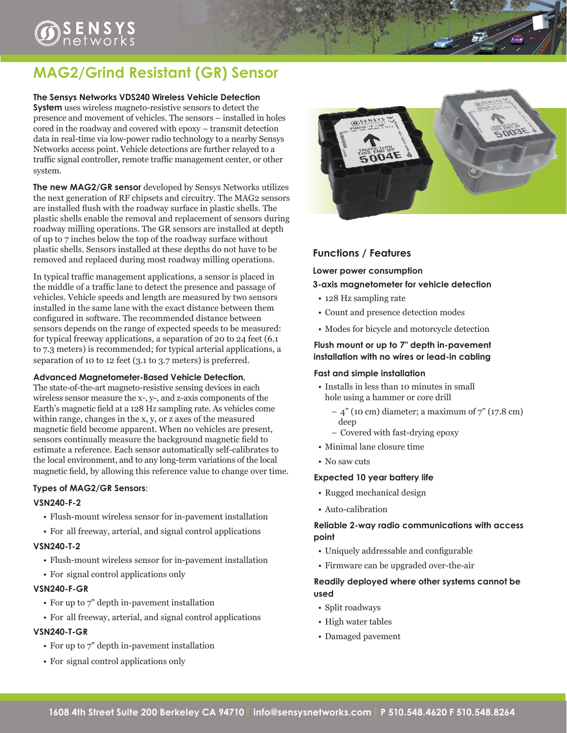# $\bigcirc$ <sub>networks</sub>

# **MAG2/Grind Resistant (GR) Sensor**

#### **The Sensys Networks VDS240 Wireless Vehicle Detection**

**System** uses wireless magneto-resistive sensors to detect the presence and movement of vehicles. The sensors – installed in holes cored in the roadway and covered with epoxy – transmit detection data in real-time via low-power radio technology to a nearby Sensys Networks access point. Vehicle detections are further relayed to a traffic signal controller, remote traffic management center, or other system.

**The new MAG2/GR sensor** developed by Sensys Networks utilizes the next generation of RF chipsets and circuitry. The MAG2 sensors are installed flush with the roadway surface in plastic shells. The plastic shells enable the removal and replacement of sensors during roadway milling operations. The GR sensors are installed at depth of up to 7 inches below the top of the roadway surface without plastic shells. Sensors installed at these depths do not have to be removed and replaced during most roadway milling operations.

In typical traffic management applications, a sensor is placed in the middle of a traffic lane to detect the presence and passage of vehicles. Vehicle speeds and length are measured by two sensors installed in the same lane with the exact distance between them configured in software. The recommended distance between sensors depends on the range of expected speeds to be measured: for typical freeway applications, a separation of 20 to 24 feet (6.1 to 7.3 meters) is recommended; for typical arterial applications, a separation of 10 to 12 feet (3.1 to 3.7 meters) is preferred.

#### **Advanced Magnetometer-Based Vehicle Detection.**

The state-of-the-art magneto-resistive sensing devices in each wireless sensor measure the x-, y-, and z-axis components of the Earth's magnetic field at a 128 Hz sampling rate. As vehicles come within range, changes in the x, y, or z axes of the measured magnetic field become apparent. When no vehicles are present, sensors continually measure the background magnetic field to estimate a reference. Each sensor automatically self-calibrates to the local environment, and to any long-term variations of the local magnetic field, by allowing this reference value to change over time.

#### **Types of MAG2/GR Sensors**:

#### **VSN240-F-2**

- Flush-mount wireless sensor for in-pavement installation
- For all freeway, arterial, and signal control applications

#### **VSN240-T-2**

- • Flush-mount wireless sensor for in-pavement installation
- For signal control applications only

#### **VSN240-F-GR**

- For up to 7" depth in-pavement installation
- For all freeway, arterial, and signal control applications

#### **VSN240-T-GR**

- • For up to 7" depth in-pavement installation
- For signal control applications only



### **Functions / Features**

**Lower power consumption**

#### **3-axis magnetometer for vehicle detection**

- 128 Hz sampling rate
- • Count and presence detection modes
- • Modes for bicycle and motorcycle detection

#### **Flush mount or up to 7" depth in-pavement installation with no wires or lead-in cabling**

#### **Fast and simple installation**

- • Installs in less than 10 minutes in small hole using a hammer or core drill
	- $-$  4" (10 cm) diameter; a maximum of  $7"$  (17.8 cm) deep
	- Covered with fast-drying epoxy
- • Minimal lane closure time
- No saw cuts

#### **Expected 10 year battery life**

- • Rugged mechanical design
- Auto-calibration

#### **Reliable 2-way radio communications with access point**

- • Uniquely addressable and configurable
- • Firmware can be upgraded over-the-air

#### **Readily deployed where other systems cannot be used**

- Split roadways
- High water tables
- • Damaged pavement